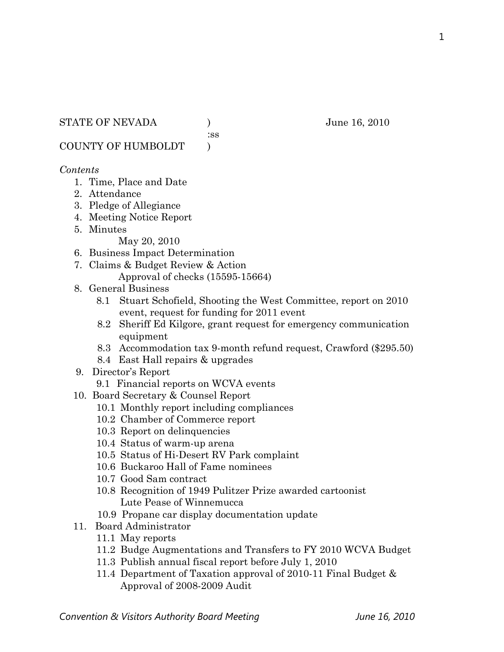### STATE OF NEVADA ) June 16, 2010

:ss

COUNTY OF HUMBOLDT )

### *Contents*

- 1. Time, Place and Date
- 2. Attendance
- 3. Pledge of Allegiance
- 4. Meeting Notice Report
- 5. Minutes

May 20, 2010

- 6. Business Impact Determination
- 7. Claims & Budget Review & Action Approval of checks (15595-15664)
- 8. General Business
	- 8.1 Stuart Schofield, Shooting the West Committee, report on 2010 event, request for funding for 2011 event
	- 8.2 Sheriff Ed Kilgore, grant request for emergency communication equipment
	- 8.3 Accommodation tax 9-month refund request, Crawford (\$295.50)
	- 8.4 East Hall repairs & upgrades
- 9. Director's Report
	- 9.1 Financial reports on WCVA events
- 10. Board Secretary & Counsel Report
	- 10.1 Monthly report including compliances
	- 10.2 Chamber of Commerce report
	- 10.3 Report on delinquencies
	- 10.4 Status of warm-up arena
	- 10.5 Status of Hi-Desert RV Park complaint
	- 10.6 Buckaroo Hall of Fame nominees
	- 10.7 Good Sam contract
	- 10.8 Recognition of 1949 Pulitzer Prize awarded cartoonist Lute Pease of Winnemucca
	- 10.9 Propane car display documentation update
- 11. Board Administrator
	- 11.1 May reports
	- 11.2 Budge Augmentations and Transfers to FY 2010 WCVA Budget
	- 11.3 Publish annual fiscal report before July 1, 2010
	- 11.4 Department of Taxation approval of 2010-11 Final Budget & Approval of 2008-2009 Audit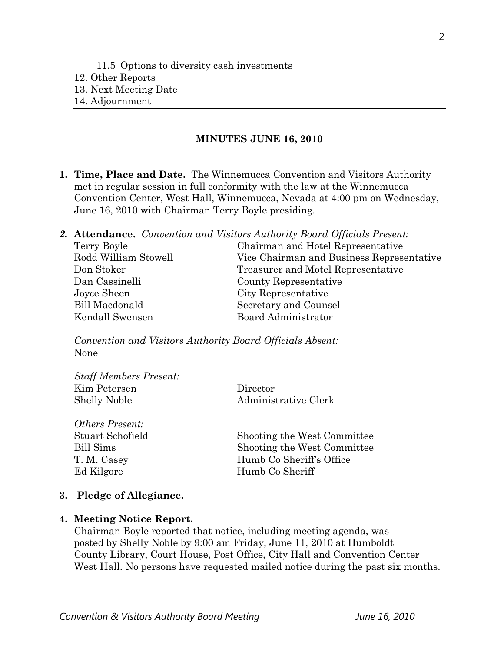#### **MINUTES JUNE 16, 2010**

- **1. Time, Place and Date.** The Winnemucca Convention and Visitors Authority met in regular session in full conformity with the law at the Winnemucca Convention Center, West Hall, Winnemucca, Nevada at 4:00 pm on Wednesday, June 16, 2010 with Chairman Terry Boyle presiding.
- *2.* **Attendance.** *Convention and Visitors Authority Board Officials Present:*  Terry Boyle Chairman and Hotel Representative Rodd William Stowell Vice Chairman and Business Representative Don Stoker Treasurer and Motel Representative Dan Cassinelli County Representative Joyce Sheen City Representative Bill Macdonald Secretary and Counsel Kendall Swensen Board Administrator

*Convention and Visitors Authority Board Officials Absent:*  None

| <b>Staff Members Present:</b> |                      |
|-------------------------------|----------------------|
| Kim Petersen                  | Director             |
| <b>Shelly Noble</b>           | Administrative Clerk |

| <i>Others Present:</i> |                             |
|------------------------|-----------------------------|
| Stuart Schofield       | Shooting the West Committee |
| Bill Sims              | Shooting the West Committee |
| T. M. Casey            | Humb Co Sheriff's Office    |
| Ed Kilgore             | Humb Co Sheriff             |

#### **3. Pledge of Allegiance.**

#### **4. Meeting Notice Report.**

Chairman Boyle reported that notice, including meeting agenda, was posted by Shelly Noble by 9:00 am Friday, June 11, 2010 at Humboldt County Library, Court House, Post Office, City Hall and Convention Center West Hall. No persons have requested mailed notice during the past six months.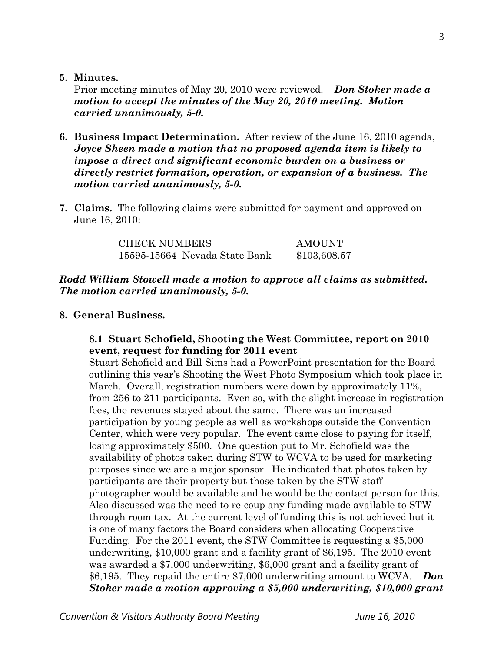**5. Minutes.** 

Prior meeting minutes of May 20, 2010 were reviewed. *Don Stoker made a motion to accept the minutes of the May 20, 2010 meeting. Motion carried unanimously, 5-0.* 

- **6. Business Impact Determination.** After review of the June 16, 2010 agenda, *Joyce Sheen made a motion that no proposed agenda item is likely to impose a direct and significant economic burden on a business or directly restrict formation, operation, or expansion of a business. The motion carried unanimously, 5-0.*
- **7. Claims.** The following claims were submitted for payment and approved on June 16, 2010:

| <b>CHECK NUMBERS</b>          | AMOUNT       |
|-------------------------------|--------------|
| 15595-15664 Nevada State Bank | \$103,608.57 |

## *Rodd William Stowell made a motion to approve all claims as submitted. The motion carried unanimously, 5-0.*

### **8. General Business.**

### **8.1 Stuart Schofield, Shooting the West Committee, report on 2010 event, request for funding for 2011 event**

Stuart Schofield and Bill Sims had a PowerPoint presentation for the Board outlining this year's Shooting the West Photo Symposium which took place in March. Overall, registration numbers were down by approximately 11%, from 256 to 211 participants. Even so, with the slight increase in registration fees, the revenues stayed about the same. There was an increased participation by young people as well as workshops outside the Convention Center, which were very popular. The event came close to paying for itself, losing approximately \$500. One question put to Mr. Schofield was the availability of photos taken during STW to WCVA to be used for marketing purposes since we are a major sponsor. He indicated that photos taken by participants are their property but those taken by the STW staff photographer would be available and he would be the contact person for this. Also discussed was the need to re-coup any funding made available to STW through room tax. At the current level of funding this is not achieved but it is one of many factors the Board considers when allocating Cooperative Funding. For the 2011 event, the STW Committee is requesting a \$5,000 underwriting, \$10,000 grant and a facility grant of \$6,195. The 2010 event was awarded a \$7,000 underwriting, \$6,000 grant and a facility grant of \$6,195. They repaid the entire \$7,000 underwriting amount to WCVA. *Don Stoker made a motion approving a \$5,000 underwriting, \$10,000 grant*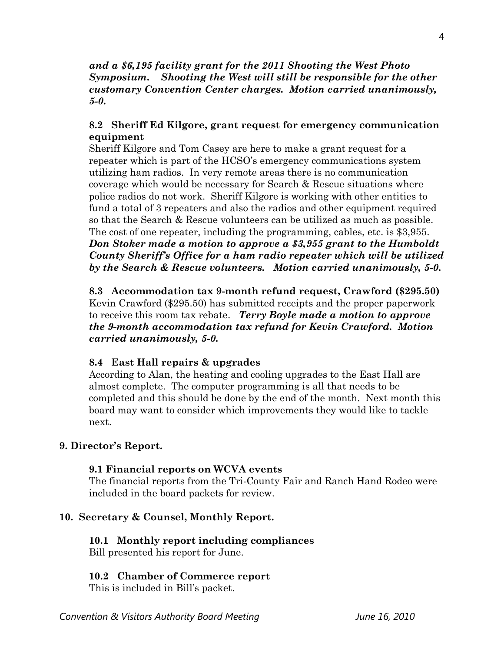### *and a \$6,195 facility grant for the 2011 Shooting the West Photo Symposium***.** *Shooting the West will still be responsible for the other customary Convention Center charges. Motion carried unanimously, 5-0.*

## **8.2 Sheriff Ed Kilgore, grant request for emergency communication equipment**

Sheriff Kilgore and Tom Casey are here to make a grant request for a repeater which is part of the HCSO's emergency communications system utilizing ham radios. In very remote areas there is no communication coverage which would be necessary for Search & Rescue situations where police radios do not work. Sheriff Kilgore is working with other entities to fund a total of 3 repeaters and also the radios and other equipment required so that the Search & Rescue volunteers can be utilized as much as possible. The cost of one repeater, including the programming, cables, etc. is \$3,955.

*Don Stoker made a motion to approve a \$3,955 grant to the Humboldt County Sheriff's Office for a ham radio repeater which will be utilized by the Search & Rescue volunteers. Motion carried unanimously, 5-0.* 

**8.3 Accommodation tax 9-month refund request, Crawford (\$295.50)**  Kevin Crawford (\$295.50) has submitted receipts and the proper paperwork to receive this room tax rebate. *Terry Boyle made a motion to approve the 9-month accommodation tax refund for Kevin Crawford. Motion carried unanimously, 5-0.* 

## **8.4 East Hall repairs & upgrades**

According to Alan, the heating and cooling upgrades to the East Hall are almost complete. The computer programming is all that needs to be completed and this should be done by the end of the month. Next month this board may want to consider which improvements they would like to tackle next.

## **9. Director's Report.**

### **9.1 Financial reports on WCVA events**

The financial reports from the Tri-County Fair and Ranch Hand Rodeo were included in the board packets for review.

## **10. Secretary & Counsel, Monthly Report.**

## **10.1 Monthly report including compliances**

Bill presented his report for June.

### **10.2 Chamber of Commerce report**

This is included in Bill's packet.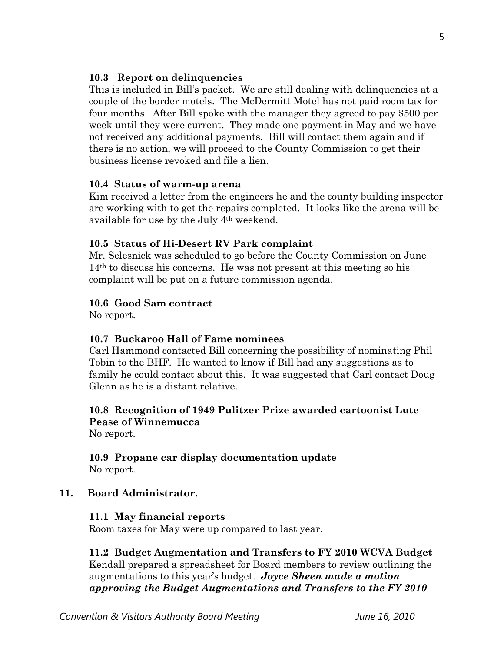### **10.3 Report on delinquencies**

This is included in Bill's packet. We are still dealing with delinquencies at a couple of the border motels. The McDermitt Motel has not paid room tax for four months. After Bill spoke with the manager they agreed to pay \$500 per week until they were current. They made one payment in May and we have not received any additional payments. Bill will contact them again and if there is no action, we will proceed to the County Commission to get their business license revoked and file a lien.

### **10.4 Status of warm-up arena**

Kim received a letter from the engineers he and the county building inspector are working with to get the repairs completed. It looks like the arena will be available for use by the July 4th weekend.

### **10.5 Status of Hi-Desert RV Park complaint**

Mr. Selesnick was scheduled to go before the County Commission on June 14th to discuss his concerns. He was not present at this meeting so his complaint will be put on a future commission agenda.

### **10.6 Good Sam contract**

No report.

### **10.7 Buckaroo Hall of Fame nominees**

Carl Hammond contacted Bill concerning the possibility of nominating Phil Tobin to the BHF. He wanted to know if Bill had any suggestions as to family he could contact about this. It was suggested that Carl contact Doug Glenn as he is a distant relative.

# **10.8 Recognition of 1949 Pulitzer Prize awarded cartoonist Lute Pease of Winnemucca**

No report.

### **10.9 Propane car display documentation update**  No report.

### **11. Board Administrator.**

### **11.1 May financial reports**

Room taxes for May were up compared to last year.

### **11.2 Budget Augmentation and Transfers to FY 2010 WCVA Budget**  Kendall prepared a spreadsheet for Board members to review outlining the augmentations to this year's budget. *Joyce Sheen made a motion approving the Budget Augmentations and Transfers to the FY 2010*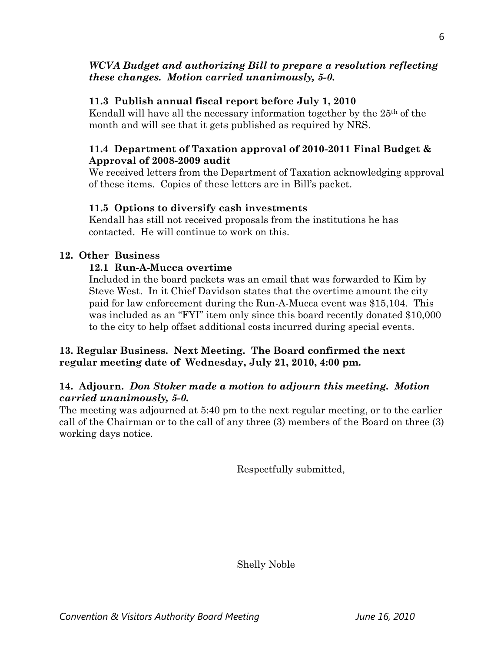## *WCVA Budget and authorizing Bill to prepare a resolution reflecting these changes. Motion carried unanimously, 5-0.*

## **11.3 Publish annual fiscal report before July 1, 2010**

Kendall will have all the necessary information together by the 25th of the month and will see that it gets published as required by NRS.

## **11.4 Department of Taxation approval of 2010-2011 Final Budget &** **Approval of 2008-2009 audit**

We received letters from the Department of Taxation acknowledging approval of these items. Copies of these letters are in Bill's packet.

## **11.5 Options to diversify cash investments**

Kendall has still not received proposals from the institutions he has contacted. He will continue to work on this.

## **12. Other Business**

## **12.1 Run-A-Mucca overtime**

Included in the board packets was an email that was forwarded to Kim by Steve West. In it Chief Davidson states that the overtime amount the city paid for law enforcement during the Run-A-Mucca event was \$15,104. This was included as an "FYI" item only since this board recently donated \$10,000 to the city to help offset additional costs incurred during special events.

## **13. Regular Business. Next Meeting. The Board confirmed the next regular meeting date of Wednesday, July 21, 2010, 4:00 pm.**

## **14. Adjourn.** *Don Stoker made a motion to adjourn this meeting. Motion carried unanimously, 5-0.*

The meeting was adjourned at 5:40 pm to the next regular meeting, or to the earlier call of the Chairman or to the call of any three (3) members of the Board on three (3) working days notice.

Respectfully submitted,

Shelly Noble